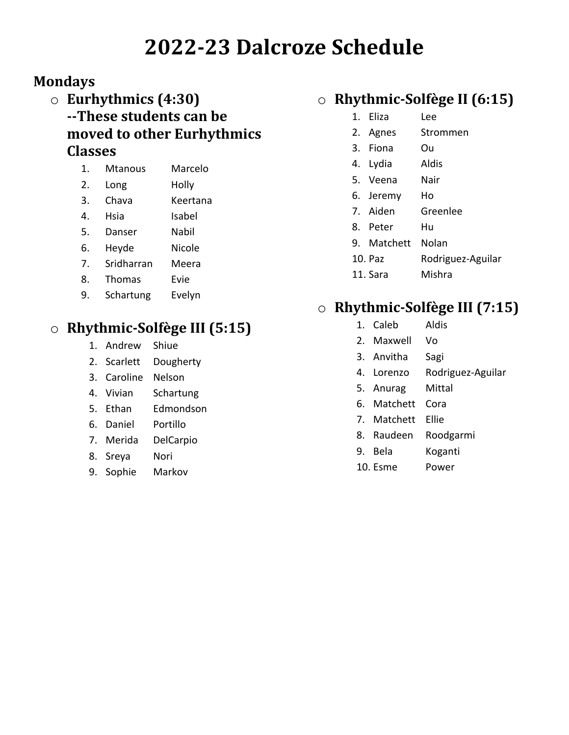# **2022-23 Dalcroze Schedule**

#### **Mondays**

- o **Eurhythmics (4:30) --These students can be moved to other Eurhythmics Classes**
	- 1. Mtanous Marcelo
	- 2. Long Holly
	- 3. Chava Keertana
	- 4. Hsia Isabel
	- 5. Danser Nabil
	- 6. Heyde Nicole
	- 7. Sridharran Meera
	- 8. Thomas Evie
	- 9. Schartung Evelyn

## o **Rhythmic-Solfège III (5:15)**

- 1. Andrew Shiue
- 2. Scarlett Dougherty
- 3. Caroline Nelson
- 4. Vivian Schartung
- 5. Ethan Edmondson
- 6. Daniel Portillo
- 7. Merida DelCarpio
- 8. Sreya Nori
- 9. Sophie Markov

#### o **Rhythmic-Solfège II (6:15)**

- 1. Eliza Lee
- 2. Agnes Strommen
- 3. Fiona Ou
- 4. Lydia Aldis
- 5. Veena Nair
- 6. Jeremy Ho
- 7. Aiden Greenlee
- 8. Peter Hu
- 9. Matchett Nolan
- 10. Paz Rodriguez-Aguilar
- 11. Sara Mishra

#### o **Rhythmic-Solfège III (7:15)**

- 1. Caleb Aldis
- 2. Maxwell Vo
- 3. Anvitha Sagi
- 4. Lorenzo Rodriguez-Aguilar
- 5. Anurag Mittal
- 6. Matchett Cora
- 7. Matchett Ellie
- 8. Raudeen Roodgarmi
- 9. Bela Koganti
- 10. Esme Power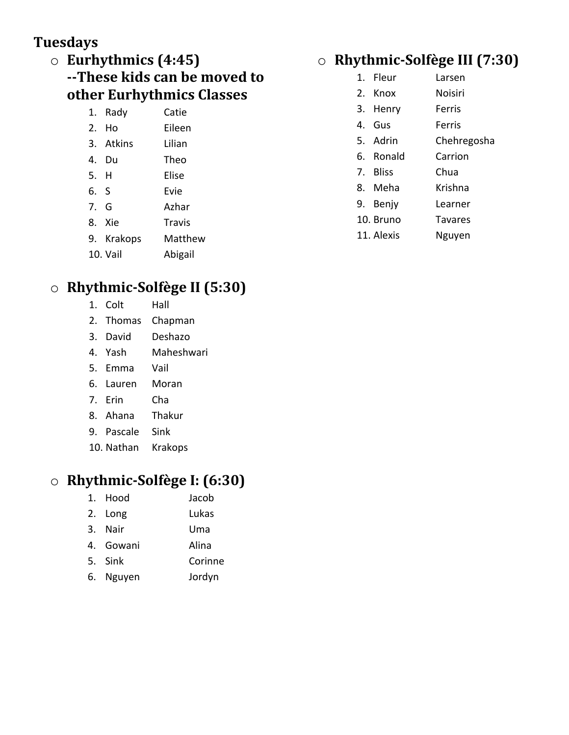#### **Tuesdays**

#### o **Eurhythmics (4:45) --These kids can be moved to other Eurhythmics Classes**

| 1. Rady   | Catie  |
|-----------|--------|
| 2. Ho     | Eileen |
| 3. Atkins | Lilian |
|           |        |

- 4. Du Theo
- 5. H Elise
- 6. S Evie
- 7. G Azhar
- 8. Xie Travis
- 9. Krakops Matthew
- 10. Vail Abigail

## o **Rhythmic-Solfège II (5:30)**

- 1. Colt Hall
- 2. Thomas Chapman
- 3. David Deshazo
- 4. Yash Maheshwari
- 5. Emma Vail
- 6. Lauren Moran
- 7. Erin Cha
- 8. Ahana Thakur
- 9. Pascale Sink
- 10. Nathan Krakops

#### o **Rhythmic-Solfège I: (6:30)**

1. Hood Jacob 2. Long Lukas 3. Nair Uma 4. Gowani Alina 5. Sink Corinne 6. Nguyen Jordyn

## o **Rhythmic-Solfège III (7:30)**

- 1. Fleur Larsen
- 2. Knox Noisiri
- 3. Henry Ferris
- 4. Gus Ferris
- 5. Adrin Chehregosha
- 6. Ronald Carrion
- 7. Bliss Chua
- 8. Meha Krishna
	-
- 9. Benjy Learner
- 10. Bruno Tavares
- 11. Alexis Nguyen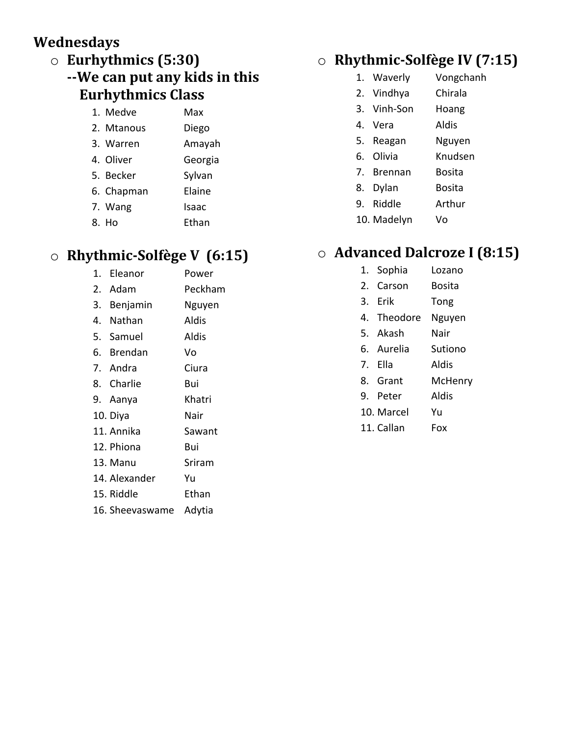#### **Wednesdays**

- o **Eurhythmics (5:30)**
	- **--We can put any kids in this Eurhythmics Class**

| 1. Medve   | Max     |
|------------|---------|
| 2. Mtanous | Diego   |
| 3. Warren  | Amayah  |
| 4. Oliver  | Georgia |
| 5. Becker  | Sylvan  |
| 6. Chapman | Elaine  |
| 7. Wang    | Isaac   |
| 8. Ho      | Ethan   |

## o **Rhythmic-Solfège V (6:15)**

1. Eleanor Power 2. Adam Peckham 3. Benjamin Nguyen 4. Nathan Aldis 5. Samuel Aldis 6. Brendan Vo 7. Andra Ciura 8. Charlie Bui 9. Aanya Khatri 10. Diya Nair 11. Annika Sawant 12. Phiona Bui 13. Manu Sriram 14. Alexander Yu 15. Riddle Ethan

## o **Rhythmic-Solfège IV (7:15)**

- 1. Waverly Vongchanh
- 2. Vindhya Chirala
- 3. Vinh-Son Hoang
- 4. Vera Aldis
- 5. Reagan Nguyen
- 6. Olivia Knudsen
- 7. Brennan Bosita
- 8. Dylan Bosita
- 9. Riddle Arthur
- 10. Madelyn Vo

## o **Advanced Dalcroze I (8:15)**

- 1. Sophia Lozano
- 2. Carson Bosita
- 3. Erik Tong
- 4. Theodore Nguyen
- 5. Akash Nair
- 6. Aurelia Sutiono
- 7. Ella Aldis
- 8. Grant McHenry
- 9. Peter Aldis
- 10. Marcel Yu
- 11. Callan Fox

- 
- 
- 16. Sheevaswame Adytia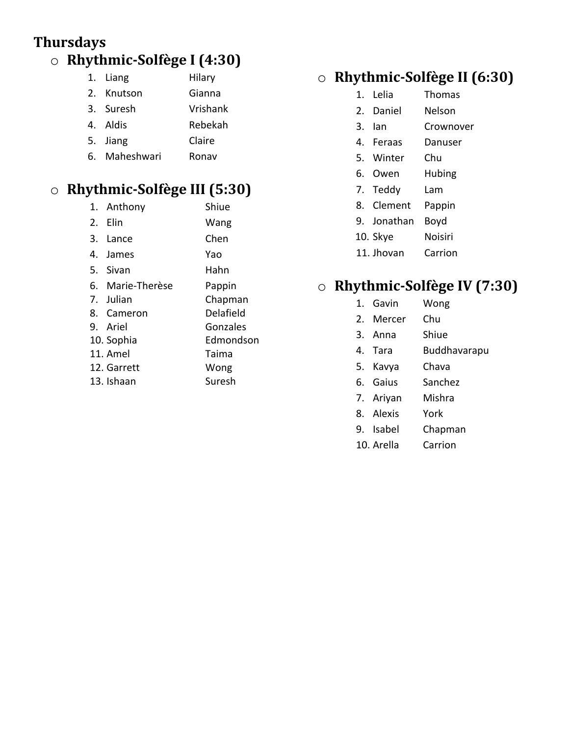#### **Thursdays** o **Rhythmic-Solfège I (4:30)**

|   | 1. Liang         | Hilary   |
|---|------------------|----------|
|   | 2. Knutson       | Gianna   |
|   | 3. Suresh        | Vrishank |
|   | 4. Aldis         | Rebekah  |
|   | 5. Jiang         | Claire   |
| r | :م د ام م ما م ۸ | -----    |

6. Maheshwari Ronav

## o **Rhythmic-Solfège III (5:30)**

| 1. Anthony       | Shiue     |
|------------------|-----------|
| 2. Elin          | Wang      |
| 3. Lance         | Chen      |
| 4. James         | Yao       |
| 5. Sivan         | Hahn      |
| 6. Marie-Therèse | Pappin    |
| 7. Julian        | Chapman   |
| 8. Cameron       | Delafield |
| 9. Ariel         | Gonzales  |
| 10. Sophia       | Edmondson |
| 11. Amel         | Taima     |
| 12. Garrett      | Wong      |
| 13. Ishaan       | Suresh    |
|                  |           |

#### o **Rhythmic-Solfège II (6:30)**

- 1. Lelia Thomas
- 2. Daniel Nelson
- 3. Ian Crownover
- 4. Feraas Danuser
- 5. Winter Chu
- 6. Owen Hubing
- 7. Teddy Lam
- 8. Clement Pappin
- 9. Jonathan Boyd
- 10. Skye Noisiri
- 11. Jhovan Carrion

#### o **Rhythmic-Solfège IV (7:30)**

- 1. Gavin Wong
- 2. Mercer Chu
- 3. Anna Shiue
- 4. Tara Buddhavarapu
- 5. Kavya Chava
- 6. Gaius Sanchez
- 7. Ariyan Mishra
- 8. Alexis York
- 9. Isabel Chapman
- 10. Arella Carrion